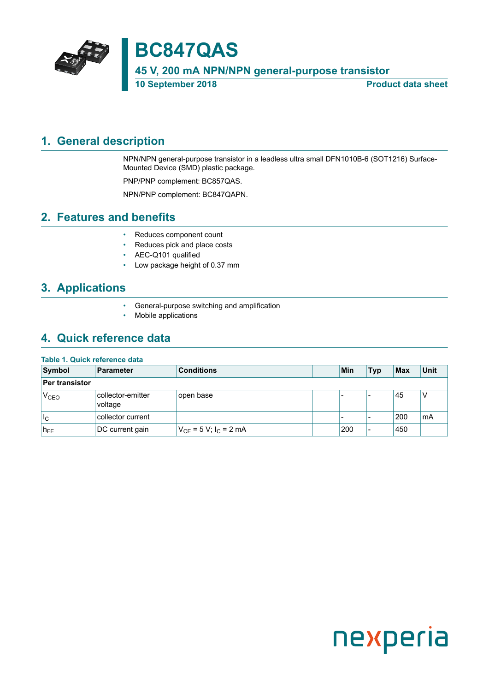

### <span id="page-0-0"></span>**1. General description**

NPN/NPN general-purpose transistor in a leadless ultra small DFN1010B-6 (SOT1216) Surface-Mounted Device (SMD) plastic package.

PNP/PNP complement: BC857QAS.

NPN/PNP complement: BC847QAPN.

### <span id="page-0-1"></span>**2. Features and benefits**

- Reduces component count
- Reduces pick and place costs
- AEC-Q101 qualified
- Low package height of 0.37 mm

# <span id="page-0-2"></span>**3. Applications**

- General-purpose switching and amplification
- Mobile applications

### <span id="page-0-3"></span>**4. Quick reference data**

| Table 1. Quick reference data |                              |                                       |  |     |                          |         |             |
|-------------------------------|------------------------------|---------------------------------------|--|-----|--------------------------|---------|-------------|
| Symbol                        | <b>Parameter</b>             | <b>Conditions</b>                     |  | Min | <b>Typ</b>               | $ $ Max | <b>Unit</b> |
| Per transistor                |                              |                                       |  |     |                          |         |             |
| 'V <sub>CEO</sub>             | collector-emitter<br>voltage | open base                             |  |     |                          | 45      |             |
| $\mathsf{I}_\mathsf{C}$       | collector current            |                                       |  |     |                          | 200     | mA          |
| $h_{FE}$                      | DC current gain              | $V_{CE}$ = 5 V; I <sub>C</sub> = 2 mA |  | 200 | $\overline{\phantom{0}}$ | 450     |             |

# nexperia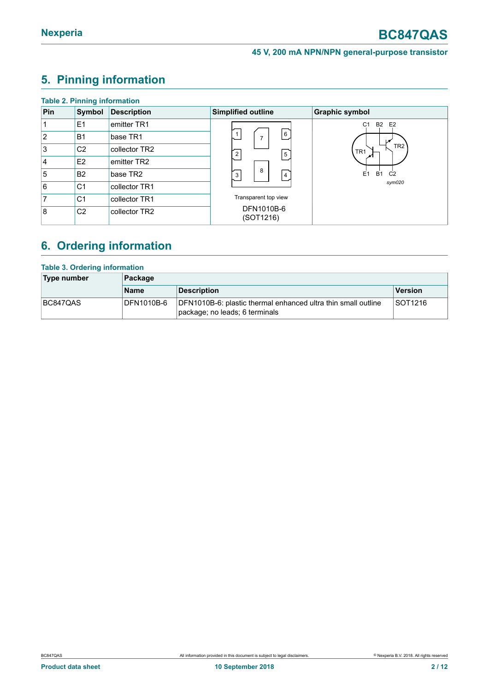# <span id="page-1-0"></span>**5. Pinning information**

|     | <b>Table 2. Pinning information</b> |                    |                                   |                                               |
|-----|-------------------------------------|--------------------|-----------------------------------|-----------------------------------------------|
| Pin | <b>Symbol</b>                       | <b>Description</b> | Simplified outline                | <b>Graphic symbol</b>                         |
|     | E1                                  | emitter TR1        |                                   | C <sub>1</sub><br><b>B2</b><br>E2             |
| 2   | <b>B1</b>                           | base TR1           | $6\,$<br>$\overline{7}$           |                                               |
| Ι3  | C <sub>2</sub>                      | collector TR2      | $5\overline{5}$<br>$\overline{2}$ | TR <sub>2</sub><br>TR <sub>1</sub>            |
| 14  | E <sub>2</sub>                      | emitter TR2        |                                   |                                               |
| 5   | <b>B2</b>                           | base TR2           | 8<br>3<br>$\overline{4}$          | E <sub>1</sub><br><b>B1</b><br>C <sub>2</sub> |
| 6   | C <sub>1</sub>                      | collector TR1      |                                   | sym020                                        |
| 7   | C <sub>1</sub>                      | collector TR1      | Transparent top view              |                                               |
| 8   | C <sub>2</sub>                      | collector TR2      | DFN1010B-6<br>(SOT1216)           |                                               |

# <span id="page-1-1"></span>**6. Ordering information**

#### **Table 3. Ordering information**

| Type number | Package     |                                                                                                 |                |  |  |  |
|-------------|-------------|-------------------------------------------------------------------------------------------------|----------------|--|--|--|
|             | <b>Name</b> | <b>Description</b>                                                                              | <b>Version</b> |  |  |  |
| BC847QAS    | DFN1010B-6  | DFN1010B-6: plastic thermal enhanced ultra thin small outline<br>package; no leads; 6 terminals | SOT1216        |  |  |  |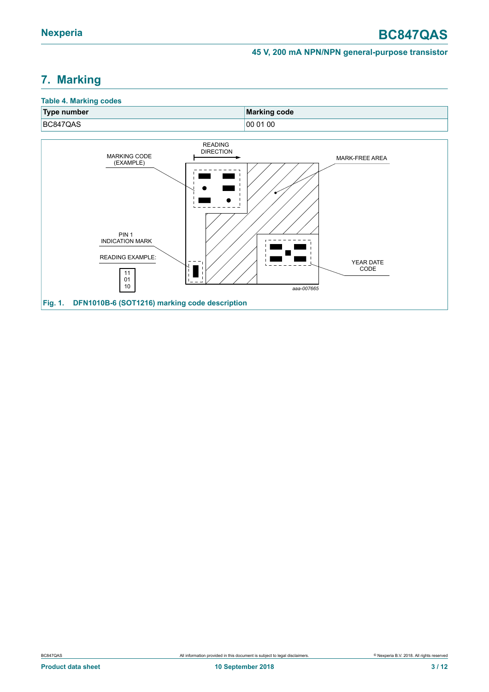# <span id="page-2-0"></span>**7. Marking**



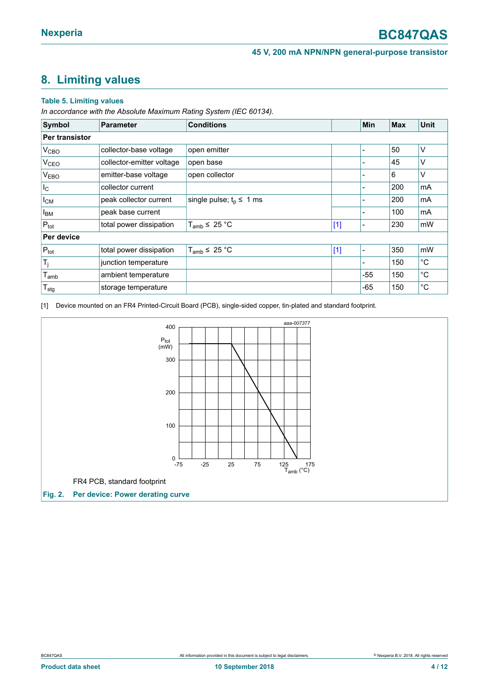# <span id="page-3-1"></span><span id="page-3-0"></span>**8. Limiting values**

#### **Table 5. Limiting values**

*In accordance with the Absolute Maximum Rating System (IEC 60134).*

| <b>Symbol</b>                | <b>Parameter</b>          | <b>Conditions</b>             |       | Min   | <b>Max</b> | <b>Unit</b> |  |
|------------------------------|---------------------------|-------------------------------|-------|-------|------------|-------------|--|
| Per transistor               |                           |                               |       |       |            |             |  |
| V <sub>CBO</sub>             | collector-base voltage    | open emitter                  |       |       | 50         | V           |  |
| V <sub>CEO</sub>             | collector-emitter voltage | open base                     |       |       | 45         | V           |  |
| <b>VEBO</b>                  | emitter-base voltage      | open collector                |       |       | 6          | V           |  |
| $I_{\rm C}$                  | collector current         |                               |       |       | 200        | mA          |  |
| $I_{CM}$                     | peak collector current    | single pulse; $t_p \leq 1$ ms |       |       | 200        | mA          |  |
| <b>I<sub>BM</sub></b>        | peak base current         |                               |       |       | 100        | mA          |  |
| $P_{\text{tot}}$             | total power dissipation   | $T_{amb}$ $\leq$ 25 °C        | $[1]$ |       | 230        | mW          |  |
| Per device                   |                           |                               |       |       |            |             |  |
| $P_{\text{tot}}$             | total power dissipation   | $T_{amb}$ $\leq$ 25 °C        | $[1]$ |       | 350        | mW          |  |
| $T_j$                        | junction temperature      |                               |       |       | 150        | $^{\circ}C$ |  |
| $T_{amb}$                    | ambient temperature       |                               |       | -55   | 150        | $^{\circ}C$ |  |
| ${\mathsf T}_{\textsf{stg}}$ | storage temperature       |                               |       | $-65$ | 150        | $^{\circ}C$ |  |

[1] Device mounted on an FR4 Printed-Circuit Board (PCB), single-sided copper, tin-plated and standard footprint.

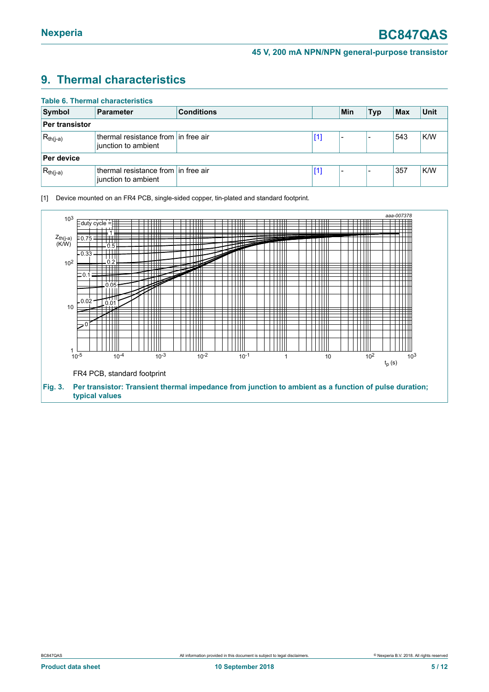# <span id="page-4-1"></span><span id="page-4-0"></span>**9. Thermal characteristics**

#### **Table 6. Thermal characteristics Symbol Parameter Conditions Min Typ Max Unit Per transistor**  $\mathsf{R}_{\mathsf{th}(\mathsf{i}\text{-a})}$  thermal resistance from in free air junction to ambient in free air  $\begin{array}{|c|c|c|c|c|c|}\hline \text{{\bf (1)}} & \text{{\bf |}} & \text{{\bf |}} & \text{{\bf |}} & \text{{\bf (1)}} & \text{{\bf (1)}} & \text{{\bf (1)}} & \text{{\bf (1)}} & \text{{\bf (1)}} & \text{{\bf (1)}} & \text{{\bf (1)}} & \text{{\bf (1)}} & \text{{\bf (1)}} & \text{{\bf (1)}} & \text{{\bf (1)}} & \text{{\bf (1)}} & \text{{\bf (1)}} & \text{{\bf (1)}} & \text{{\bf (1)}} & \text{{\bf (1)}} & \text{{\bf (1)}} & \text$ **Per device**  $R_{th(j-a)}$  thermal resistance from in free air junction to ambient in free air  $[1]$   $\vert$ -  $\vert$ -  $\vert$ 357 K/W

[1] Device mounted on an FR4 PCB, single-sided copper, tin-plated and standard footprint.

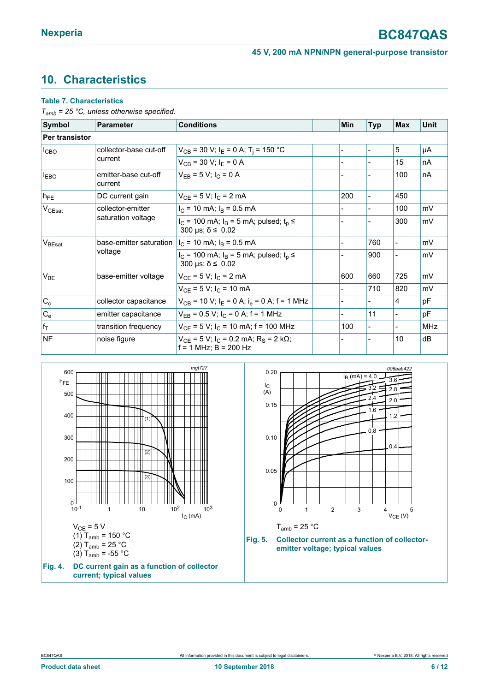# <span id="page-5-0"></span>**10. Characteristics**

#### **Table 7. Characteristics**

*Tamb = 25 °C, unless otherwise specified.*

| Symbol             | <b>Parameter</b>                        | <b>Conditions</b>                                                                          | Min                      | Typ            | Max | Unit       |
|--------------------|-----------------------------------------|--------------------------------------------------------------------------------------------|--------------------------|----------------|-----|------------|
| Per transistor     |                                         |                                                                                            |                          |                |     |            |
| I <sub>CBO</sub>   | collector-base cut-off                  | $V_{CB}$ = 30 V; I <sub>E</sub> = 0 A; T <sub>i</sub> = 150 °C                             |                          |                | 5   | μA         |
|                    | current                                 | $V_{CB}$ = 30 V; $I_F$ = 0 A                                                               |                          |                | 15  | nA         |
| <b>IEBO</b>        | emitter-base cut-off<br>current         | $V_{FB} = 5 V$ ; $I_C = 0 A$                                                               |                          |                | 100 | nA         |
| $h_{FE}$           | DC current gain                         | $V_{CF}$ = 5 V; $I_C$ = 2 mA                                                               | 200                      | $\overline{a}$ | 450 |            |
| V <sub>CEsat</sub> | collector-emitter<br>saturation voltage | $I_C$ = 10 mA; $I_B$ = 0.5 mA                                                              |                          |                | 100 | mV         |
|                    |                                         | $I_C$ = 100 mA; $I_B$ = 5 mA; pulsed; $t_p \le$<br>300 µs; $\delta$ ≤ 0.02                 |                          |                | 300 | mV         |
| V <sub>BEsat</sub> | base-emitter saturation<br>voltage      | $I_C$ = 10 mA; $I_B$ = 0.5 mA                                                              |                          | 760            |     | mV         |
|                    |                                         | $I_C$ = 100 mA; $I_B$ = 5 mA; pulsed; $t_p \le$<br>300 µs; $\delta \le 0.02$               |                          | 900            |     | mV         |
| $V_{BE}$           | base-emitter voltage                    | $V_{CE} = 5 V$ ; $I_C = 2 mA$                                                              | 600                      | 660            | 725 | mV         |
|                    |                                         | $V_{CF}$ = 5 V; $I_C$ = 10 mA                                                              |                          | 710            | 820 | mV         |
| $C_c$              | collector capacitance                   | $V_{CB}$ = 10 V; $I_F$ = 0 A; $I_e$ = 0 A; f = 1 MHz                                       |                          |                | 4   | pF         |
| $C_{e}$            | emitter capacitance                     | $V_{FB}$ = 0.5 V; $I_C$ = 0 A; f = 1 MHz                                                   | $\overline{\phantom{0}}$ | 11             |     | рF         |
| $f_T$              | transition frequency                    | $V_{CF}$ = 5 V; $I_C$ = 10 mA; f = 100 MHz                                                 | 100                      | $\blacksquare$ |     | <b>MHz</b> |
| <b>NF</b>          | noise figure                            | $V_{CF}$ = 5 V; I <sub>C</sub> = 0.2 mA; R <sub>S</sub> = 2 kQ;<br>$f = 1$ MHz; B = 200 Hz |                          |                | 10  | dB         |





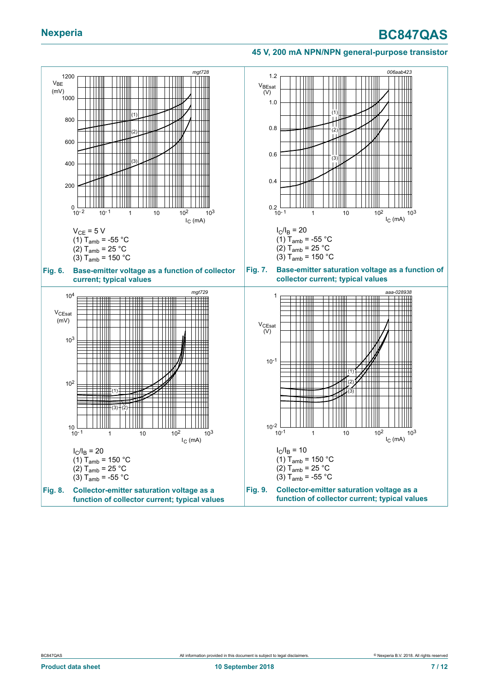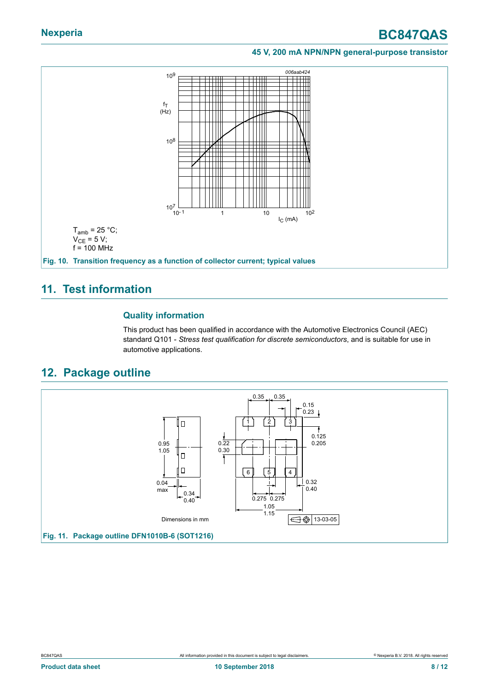# **Nexperia BC847QAS**

#### **45 V, 200 mA NPN/NPN general-purpose transistor**



### <span id="page-7-0"></span>**11. Test information**

#### **Quality information**

This product has been qualified in accordance with the Automotive Electronics Council (AEC) standard Q101 - *Stress test qualification for discrete semiconductors*, and is suitable for use in automotive applications.

### <span id="page-7-1"></span>**12. Package outline**

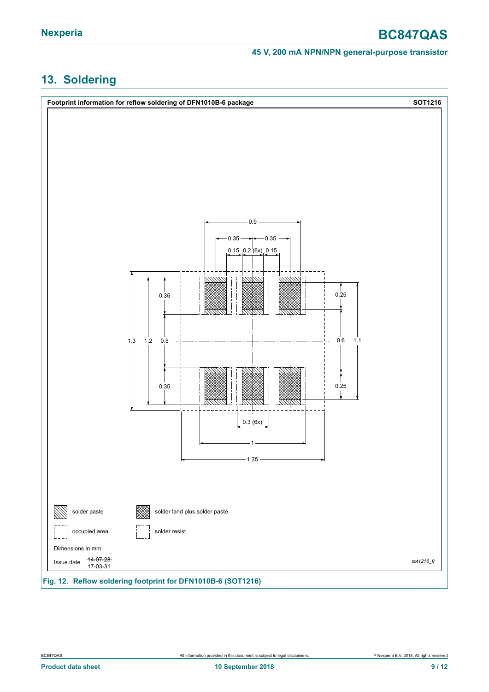# <span id="page-8-0"></span>**13. Soldering**

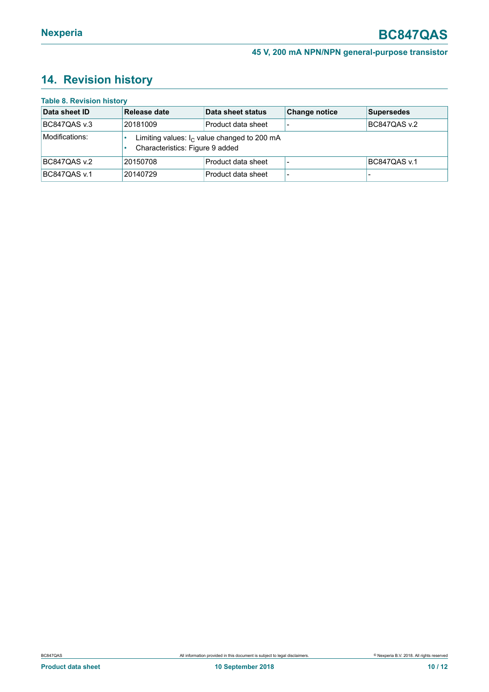# <span id="page-9-0"></span>**14. Revision history**

| <b>Table 8. Revision history</b> |                                 |                                                |                          |                     |  |  |
|----------------------------------|---------------------------------|------------------------------------------------|--------------------------|---------------------|--|--|
| Data sheet ID                    | Release date                    | Data sheet status                              | <b>Change notice</b>     | <b>Supersedes</b>   |  |  |
| BC847QAS v.3                     | 20181009                        | Product data sheet                             | $\overline{\phantom{0}}$ | BC847QAS v.2        |  |  |
| Modifications:                   | Characteristics: Figure 9 added | Limiting values: $I_C$ value changed to 200 mA |                          |                     |  |  |
| BC847QAS v.2                     | 20150708                        | Product data sheet                             | $\overline{\phantom{0}}$ | <b>BC847QAS v.1</b> |  |  |
| BC847QAS v.1                     | 20140729                        | Product data sheet                             | $\overline{\phantom{0}}$ |                     |  |  |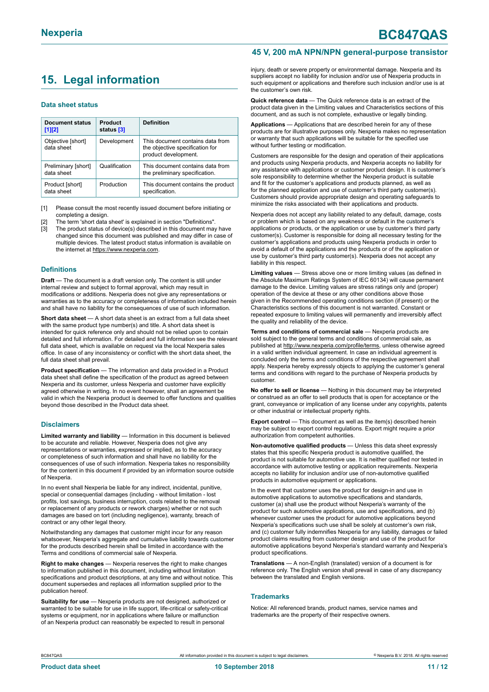#### <span id="page-10-0"></span>**Data sheet status**

| Document status<br>$[1]$ [2]      | <b>Product</b><br>status [3] | <b>Definition</b>                                                                           |
|-----------------------------------|------------------------------|---------------------------------------------------------------------------------------------|
| Objective [short]<br>data sheet   | Development                  | This document contains data from<br>the objective specification for<br>product development. |
| Preliminary [short]<br>data sheet | Qualification                | This document contains data from<br>the preliminary specification.                          |
| Product [short]<br>data sheet     | Production                   | This document contains the product<br>specification.                                        |

[1] Please consult the most recently issued document before initiating or completing a design.

The term 'short data sheet' is explained in section "Definitions".

[3] The product status of device(s) described in this document may have changed since this document was published and may differ in case of multiple devices. The latest product status information is available on the internet at [https://www.nexperia.com.](https://www.nexperia.com)

#### **Definitions**

**Draft** — The document is a draft version only. The content is still under internal review and subject to formal approval, which may result in modifications or additions. Nexperia does not give any representations or warranties as to the accuracy or completeness of information included herein and shall have no liability for the consequences of use of such information.

**Short data sheet** — A short data sheet is an extract from a full data sheet with the same product type number(s) and title. A short data sheet is intended for quick reference only and should not be relied upon to contain detailed and full information. For detailed and full information see the relevant full data sheet, which is available on request via the local Nexperia sales office. In case of any inconsistency or conflict with the short data sheet, the full data sheet shall prevail.

**Product specification** — The information and data provided in a Product data sheet shall define the specification of the product as agreed between Nexperia and its customer, unless Nexperia and customer have explicitly agreed otherwise in writing. In no event however, shall an agreement be valid in which the Nexperia product is deemed to offer functions and qualities beyond those described in the Product data sheet.

#### **Disclaimers**

**Limited warranty and liability** — Information in this document is believed to be accurate and reliable. However, Nexperia does not give any representations or warranties, expressed or implied, as to the accuracy or completeness of such information and shall have no liability for the consequences of use of such information. Nexperia takes no responsibility for the content in this document if provided by an information source outside of Nexperia.

In no event shall Nexperia be liable for any indirect, incidental, punitive, special or consequential damages (including - without limitation - lost profits, lost savings, business interruption, costs related to the removal or replacement of any products or rework charges) whether or not such damages are based on tort (including negligence), warranty, breach of contract or any other legal theory.

Notwithstanding any damages that customer might incur for any reason whatsoever, Nexperia's aggregate and cumulative liability towards customer for the products described herein shall be limited in accordance with the Terms and conditions of commercial sale of Nexperia.

**Right to make changes** — Nexperia reserves the right to make changes to information published in this document, including without limitation specifications and product descriptions, at any time and without notice. This document supersedes and replaces all information supplied prior to the publication hereof

**Suitability for use** — Nexperia products are not designed, authorized or warranted to be suitable for use in life support, life-critical or safety-critical systems or equipment, nor in applications where failure or malfunction of an Nexperia product can reasonably be expected to result in personal

#### **45 V, 200 mA NPN/NPN general-purpose transistor**

injury, death or severe property or environmental damage. Nexperia and its suppliers accept no liability for inclusion and/or use of Nexperia products in such equipment or applications and therefore such inclusion and/or use is at the customer's own risk.

**Quick reference data** — The Quick reference data is an extract of the product data given in the Limiting values and Characteristics sections of this document, and as such is not complete, exhaustive or legally binding.

**Applications** — Applications that are described herein for any of these products are for illustrative purposes only. Nexperia makes no representation or warranty that such applications will be suitable for the specified use without further testing or modification.

Customers are responsible for the design and operation of their applications and products using Nexperia products, and Nexperia accepts no liability for any assistance with applications or customer product design. It is customer's sole responsibility to determine whether the Nexperia product is suitable and fit for the customer's applications and products planned, as well as for the planned application and use of customer's third party customer(s). Customers should provide appropriate design and operating safeguards to minimize the risks associated with their applications and products.

Nexperia does not accept any liability related to any default, damage, costs or problem which is based on any weakness or default in the customer's applications or products, or the application or use by customer's third party customer(s). Customer is responsible for doing all necessary testing for the customer's applications and products using Nexperia products in order to avoid a default of the applications and the products or of the application or use by customer's third party customer(s). Nexperia does not accept any liability in this respect.

**Limiting values** — Stress above one or more limiting values (as defined in the Absolute Maximum Ratings System of IEC 60134) will cause permanent damage to the device. Limiting values are stress ratings only and (proper) operation of the device at these or any other conditions above those given in the Recommended operating conditions section (if present) or the Characteristics sections of this document is not warranted. Constant or repeated exposure to limiting values will permanently and irreversibly affect the quality and reliability of the device.

**Terms and conditions of commercial sale** — Nexperia products are sold subject to the general terms and conditions of commercial sale, as published at [http://www.nexperia.com/profile/terms,](http://www.nexperia.com/profile/terms) unless otherwise agreed in a valid written individual agreement. In case an individual agreement is concluded only the terms and conditions of the respective agreement shall apply. Nexperia hereby expressly objects to applying the customer's general terms and conditions with regard to the purchase of Nexperia products by customer.

**No offer to sell or license** — Nothing in this document may be interpreted or construed as an offer to sell products that is open for acceptance or the grant, conveyance or implication of any license under any copyrights, patents or other industrial or intellectual property rights.

**Export control** — This document as well as the item(s) described herein may be subject to export control regulations. Export might require a prior authorization from competent authorities.

**Non-automotive qualified products** — Unless this data sheet expressly states that this specific Nexperia product is automotive qualified, the product is not suitable for automotive use. It is neither qualified nor tested in accordance with automotive testing or application requirements. Nexperia accepts no liability for inclusion and/or use of non-automotive qualified products in automotive equipment or applications.

In the event that customer uses the product for design-in and use in automotive applications to automotive specifications and standards, customer (a) shall use the product without Nexperia's warranty of the product for such automotive applications, use and specifications, and (b) whenever customer uses the product for automotive applications beyond Nexperia's specifications such use shall be solely at customer's own risk, and (c) customer fully indemnifies Nexperia for any liability, damages or failed product claims resulting from customer design and use of the product for automotive applications beyond Nexperia's standard warranty and Nexperia's product specifications.

**Translations** — A non-English (translated) version of a document is for reference only. The English version shall prevail in case of any discrepancy between the translated and English versions.

#### **Trademarks**

Notice: All referenced brands, product names, service names and trademarks are the property of their respective owners.